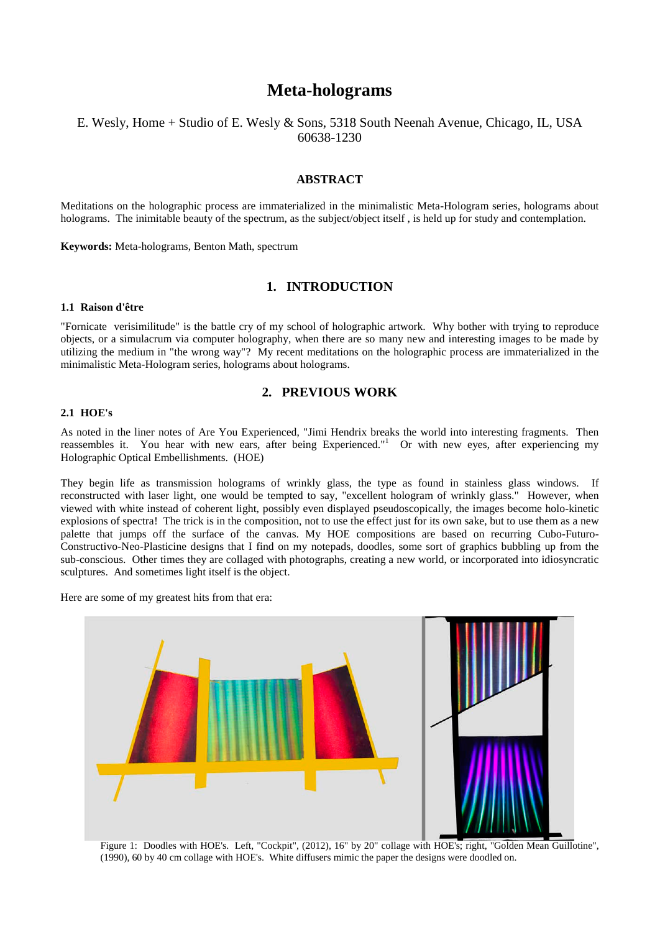# **Meta-holograms**

### E. Wesly, Home + Studio of E. Wesly & Sons, 5318 South Neenah Avenue, Chicago, IL, USA 60638-1230

### **ABSTRACT**

Meditations on the holographic process are immaterialized in the minimalistic Meta-Hologram series, holograms about holograms. The inimitable beauty of the spectrum, as the subject/object itself , is held up for study and contemplation.

**Keywords:** Meta-holograms, Benton Math, spectrum

### **1. INTRODUCTION**

### **1.1 Raison d'être**

"Fornicate verisimilitude" is the battle cry of my school of holographic artwork. Why bother with trying to reproduce objects, or a simulacrum via computer holography, when there are so many new and interesting images to be made by utilizing the medium in "the wrong way"? My recent meditations on the holographic process are immaterialized in the minimalistic Meta-Hologram series, holograms about holograms.

### **2. PREVIOUS WORK**

#### **2.1 HOE's**

As noted in the liner notes of Are You Experienced, "Jimi Hendrix breaks the world into interesting fragments. Then reassembles it. You hear with new ears, after being Experienced."<sup>1</sup> Or with new eyes, after experiencing my Holographic Optical Embellishments. (HOE)

They begin life as transmission holograms of wrinkly glass, the type as found in stainless glass windows. If reconstructed with laser light, one would be tempted to say, "excellent hologram of wrinkly glass." However, when viewed with white instead of coherent light, possibly even displayed pseudoscopically, the images become holo-kinetic explosions of spectra! The trick is in the composition, not to use the effect just for its own sake, but to use them as a new palette that jumps off the surface of the canvas. My HOE compositions are based on recurring Cubo-Futuro-Constructivo-Neo-Plasticine designs that I find on my notepads, doodles, some sort of graphics bubbling up from the sub-conscious. Other times they are collaged with photographs, creating a new world, or incorporated into idiosyncratic sculptures. And sometimes light itself is the object.

Here are some of my greatest hits from that era:



Figure 1: Doodles with HOE's. Left, "Cockpit", (2012), 16" by 20" collage with HOE's; right, "Golden Mean Guillotine", (1990), 60 by 40 cm collage with HOE's. White diffusers mimic the paper the designs were doodled on.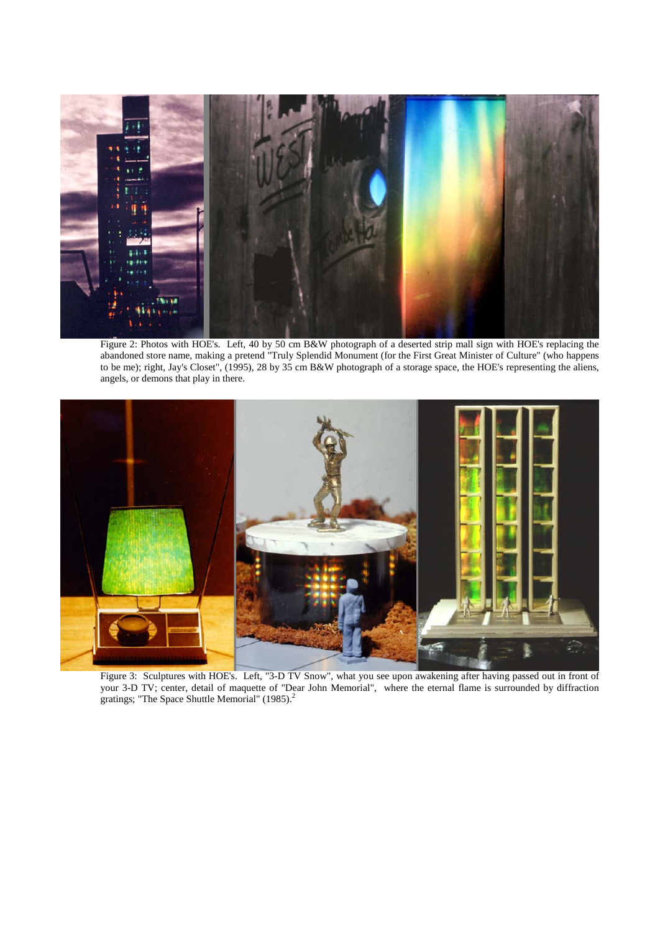

Figure 2: Photos with HOE's. Left, 40 by 50 cm B&W photograph of a deserted strip mall sign with HOE's replacing the abandoned store name, making a pretend "Truly Splendid Monument (for the First Great Minister of Culture" (who happens to be me); right, Jay's Closet", (1995), 28 by 35 cm B&W photograph of a storage space, the HOE's representing the aliens, angels, or demons that play in there.



Figure 3: Sculptures with HOE's. Left, "3-D TV Snow", what you see upon awakening after having passed out in front of your 3-D TV; center, detail of maquette of "Dear John Memorial", where the eternal flame is surrounded by diffraction gratings; "The Space Shuttle Memorial" (1985).<sup>2</sup>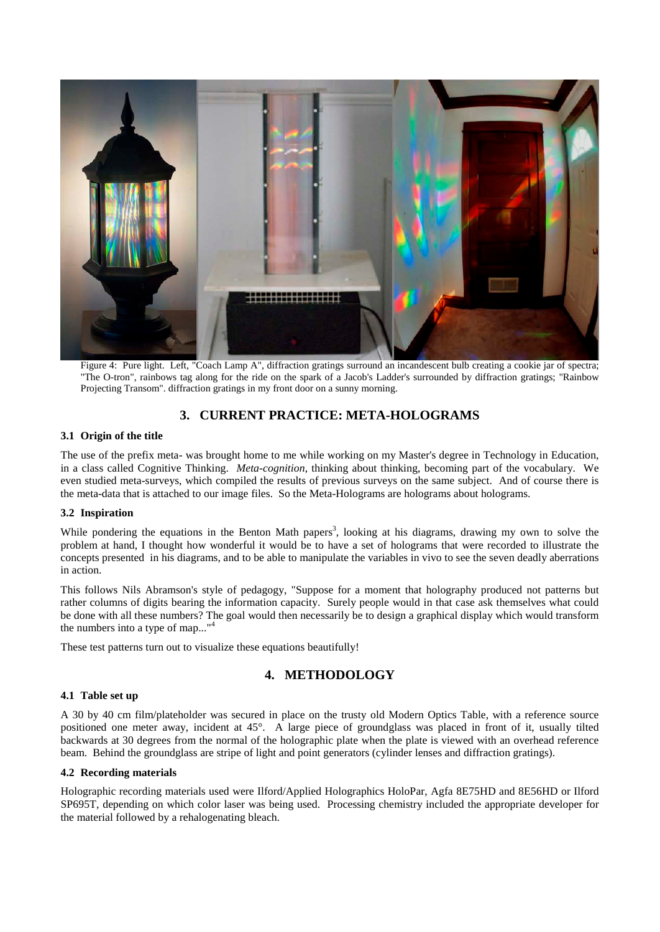

Figure 4: Pure light. Left, "Coach Lamp A", diffraction gratings surround an incandescent bulb creating a cookie jar of spectra; "The O-tron", rainbows tag along for the ride on the spark of a Jacob's Ladder's surrounded by diffraction gratings; "Rainbow Projecting Transom". diffraction gratings in my front door on a sunny morning.

# **3. CURRENT PRACTICE: META-HOLOGRAMS**

### **3.1 Origin of the title**

The use of the prefix meta- was brought home to me while working on my Master's degree in Technology in Education, in a class called Cognitive Thinking. *Meta-cognition*, thinking about thinking, becoming part of the vocabulary. We even studied meta-surveys, which compiled the results of previous surveys on the same subject. And of course there is the meta-data that is attached to our image files. So the Meta-Holograms are holograms about holograms.

### **3.2 Inspiration**

While pondering the equations in the Benton Math papers<sup>3</sup>, looking at his diagrams, drawing my own to solve the problem at hand, I thought how wonderful it would be to have a set of holograms that were recorded to illustrate the concepts presented in his diagrams, and to be able to manipulate the variables in vivo to see the seven deadly aberrations in action.

This follows Nils Abramson's style of pedagogy, "Suppose for a moment that holography produced not patterns but rather columns of digits bearing the information capacity. Surely people would in that case ask themselves what could be done with all these numbers? The goal would then necessarily be to design a graphical display which would transform the numbers into a type of map..."

These test patterns turn out to visualize these equations beautifully!

### **4. METHODOLOGY**

### **4.1 Table set up**

A 30 by 40 cm film/plateholder was secured in place on the trusty old Modern Optics Table, with a reference source positioned one meter away, incident at 45°. A large piece of groundglass was placed in front of it, usually tilted backwards at 30 degrees from the normal of the holographic plate when the plate is viewed with an overhead reference beam. Behind the groundglass are stripe of light and point generators (cylinder lenses and diffraction gratings).

### **4.2 Recording materials**

Holographic recording materials used were Ilford/Applied Holographics HoloPar, Agfa 8E75HD and 8E56HD or Ilford SP695T, depending on which color laser was being used. Processing chemistry included the appropriate developer for the material followed by a rehalogenating bleach.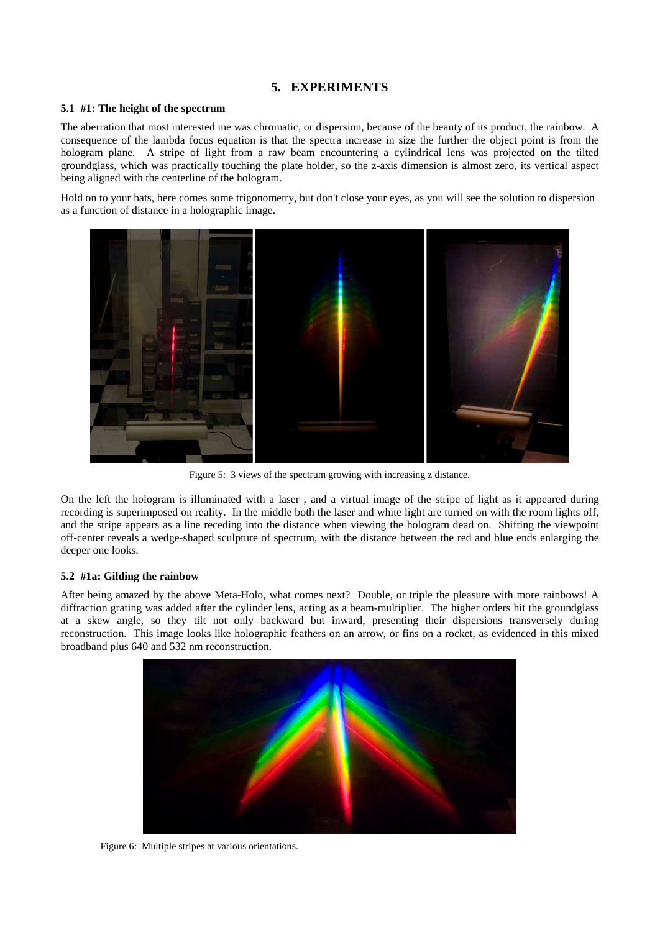# **5. EXPERIMENTS**

### **5.1 #1: The height of the spectrum**

The aberration that most interested me was chromatic, or dispersion, because of the beauty of its product, the rainbow. A consequence of the lambda focus equation is that the spectra increase in size the further the object point is from the hologram plane. A stripe of light from a raw beam encountering a cylindrical lens was projected on the tilted groundglass, which was practically touching the plate holder, so the z-axis dimension is almost zero, its vertical aspect being aligned with the centerline of the hologram.

Hold on to your hats, here comes some trigonometry, but don't close your eyes, as you will see the solution to dispersion as a function of distance in a holographic image.



Figure 5: 3 views of the spectrum growing with increasing z distance.

On the left the hologram is illuminated with a laser , and a virtual image of the stripe of light as it appeared during recording is superimposed on reality. In the middle both the laser and white light are turned on with the room lights off, and the stripe appears as a line receding into the distance when viewing the hologram dead on. Shifting the viewpoint off-center reveals a wedge-shaped sculpture of spectrum, with the distance between the red and blue ends enlarging the deeper one looks.

### **5.2 #1a: Gilding the rainbow**

After being amazed by the above Meta-Holo, what comes next? Double, or triple the pleasure with more rainbows! A diffraction grating was added after the cylinder lens, acting as a beam-multiplier. The higher orders hit the groundglass at a skew angle, so they tilt not only backward but inward, presenting their dispersions transversely during reconstruction. This image looks like holographic feathers on an arrow, or fins on a rocket, as evidenced in this mixed broadband plus 640 and 532 nm reconstruction.



Figure 6: Multiple stripes at various orientations.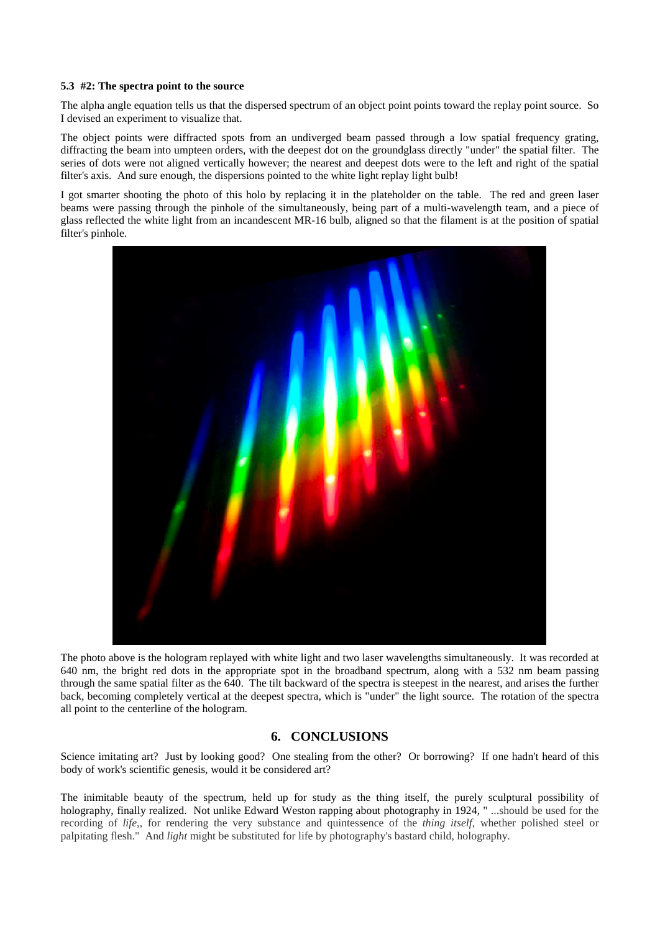### **5.3 #2: The spectra point to the source**

The alpha angle equation tells us that the dispersed spectrum of an object point points toward the replay point source. So I devised an experiment to visualize that.

The object points were diffracted spots from an undiverged beam passed through a low spatial frequency grating, diffracting the beam into umpteen orders, with the deepest dot on the groundglass directly "under" the spatial filter. The series of dots were not aligned vertically however; the nearest and deepest dots were to the left and right of the spatial filter's axis. And sure enough, the dispersions pointed to the white light replay light bulb!

I got smarter shooting the photo of this holo by replacing it in the plateholder on the table. The red and green laser beams were passing through the pinhole of the simultaneously, being part of a multi-wavelength team, and a piece of glass reflected the white light from an incandescent MR-16 bulb, aligned so that the filament is at the position of spatial filter's pinhole.



The photo above is the hologram replayed with white light and two laser wavelengths simultaneously. It was recorded at 640 nm, the bright red dots in the appropriate spot in the broadband spectrum, along with a 532 nm beam passing through the same spatial filter as the 640. The tilt backward of the spectra is steepest in the nearest, and arises the further back, becoming completely vertical at the deepest spectra, which is "under" the light source. The rotation of the spectra all point to the centerline of the hologram.

# **6. CONCLUSIONS**

Science imitating art? Just by looking good? One stealing from the other? Or borrowing? If one hadn't heard of this body of work's scientific genesis, would it be considered art?

The inimitable beauty of the spectrum, held up for study as the thing itself, the purely sculptural possibility of holography, finally realized. Not unlike Edward Weston rapping about photography in 1924, " ...should be used for the recording of *life,*, for rendering the very substance and quintessence of the *thing itself*, whether polished steel or palpitating flesh." And *light* might be substituted for life by photography's bastard child, holography.